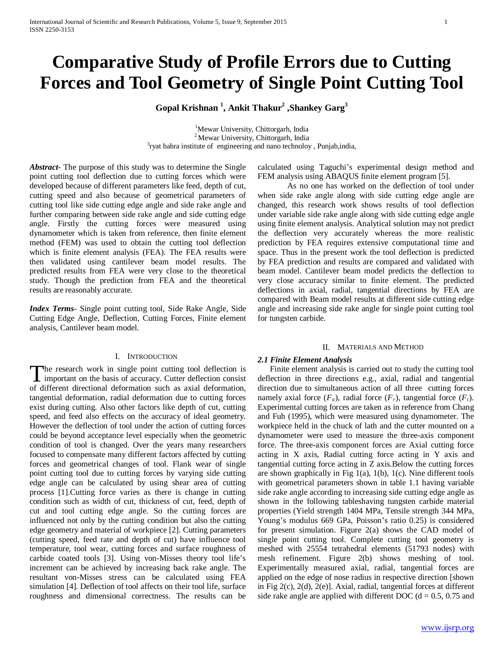# **Comparative Study of Profile Errors due to Cutting Forces and Tool Geometry of Single Point Cutting Tool**

**Gopal Krishnan <sup>1</sup> , Ankit Thakur2 ,Shankey Garg3**

<sup>1</sup>Mewar University, Chittorgarh, India <sup>2</sup> Mewar University, Chittorgarh, India  $\frac{3}{3}$ ryat bahra institute of engineering and nano technoloy, Punjab, india,

*Abstract***-** The purpose of this study was to determine the Single point cutting tool deflection due to cutting forces which were developed because of different parameters like feed, depth of cut, cutting speed and also because of geometrical parameters of cutting tool like side cutting edge angle and side rake angle and further comparing between side rake angle and side cutting edge angle. Firstly the cutting forces were measured using dynamometer which is taken from reference, then finite element method (FEM) was used to obtain the cutting tool deflection which is finite element analysis (FEA). The FEA results were then validated using cantilever beam model results. The predicted results from FEA were very close to the theoretical study. Though the prediction from FEA and the theoretical results are reasonably accurate.

*Index Terms*- Single point cutting tool, Side Rake Angle, Side Cutting Edge Angle, Deflection, Cutting Forces, Finite element analysis, Cantilever beam model.

## I. INTRODUCTION

he research work in single point cutting tool deflection is The research work in single point cutting tool deflection is<br>
important on the basis of accuracy. Cutter deflection consist<br>
The USC of different directional deformation such as axial deformation, tangential deformation, radial deformation due to cutting forces exist during cutting. Also other factors like depth of cut, cutting speed, and feed also effects on the accuracy of ideal geometry. However the deflection of tool under the action of cutting forces could be beyond acceptance level especially when the geometric condition of tool is changed. Over the years many researchers focused to compensate many different factors affected by cutting forces and geometrical changes of tool. Flank wear of single point cutting tool due to cutting forces by varying side cutting edge angle can be calculated by using shear area of cutting process [1].Cutting force varies as there is change in cutting condition such as width of cut, thickness of cut, feed, depth of cut and tool cutting edge angle. So the cutting forces are influenced not only by the cutting condition but also the cutting edge geometry and material of workpiece [2]. Cutting parameters (cutting speed, feed rate and depth of cut) have influence tool temperature, tool wear, cutting forces and surface roughness of carbide coated tools [3]. Using von-Misses theory tool life's increment can be achieved by increasing back rake angle. The resultant von-Misses stress can be calculated using FEA simulation [4]. Deflection of tool affects on their tool life, surface roughness and dimensional correctness. The results can be

calculated using Taguchi's experimental design method and FEM analysis using ABAQUS finite element program [5].

As no one has worked on the deflection of tool under when side rake angle along with side cutting edge angle are changed, this research work shows results of tool deflection under variable side rake angle along with side cutting edge angle using finite element analysis. Analytical solution may not predict the deflection very accurately whereas the more realistic prediction by FEA requires extensive computational time and space. Thus in the present work the tool deflection is predicted by FEA prediction and results are compared and validated with beam model. Cantilever beam model predicts the deflection to very close accuracy similar to finite element. The predicted deflections in axial, radial, tangential directions by FEA are compared with Beam model results at different side cutting edge angle and increasing side rake angle for single point cutting tool for tungsten carbide.

### II. MATERIALS AND METHOD

## *2.1 Finite Element Analysis*

 Finite element analysis is carried out to study the cutting tool deflection in three directions e.g., axial, radial and tangential direction due to simultaneous action of all three cutting forces namely axial force  $(F_a)$ , radial force  $(F_r)$ , tangential force  $(F_t)$ . Experimental cutting forces are taken as in reference from Chang and Fuh (1995), which were measured using dynamometer. The workpiece held in the chuck of lath and the cutter mounted on a dynamometer were used to measure the three-axis component force. The three-axis component forces are Axial cutting force acting in X axis, Radial cutting force acting in Y axis and tangential cutting force acting in Z axis.Below the cutting forces are shown graphically in Fig 1(a), 1(b), 1(c). Nine different tools with geometrical parameters shown in table 1.1 having variable side rake angle according to increasing side cutting edge angle as shown in the following tableshaving tungsten carbide material properties (Yield strength 1404 MPa, Tensile strength 344 MPa, Young's modulus 669 GPa, Poisson's ratio 0.25) is considered for present simulation. Figure 2(a) shows the CAD model of single point cutting tool. Complete cutting tool geometry is meshed with 25554 tetrahedral elements (51793 nodes) with mesh refinement. Figure 2(b) shows meshing of tool. Experimentally measured axial, radial, tangential forces are applied on the edge of nose radius in respective direction [shown in Fig 2(c), 2(d), 2(e)]. Axial, radial, tangential forces at different side rake angle are applied with different DOC ( $d = 0.5, 0.75$  and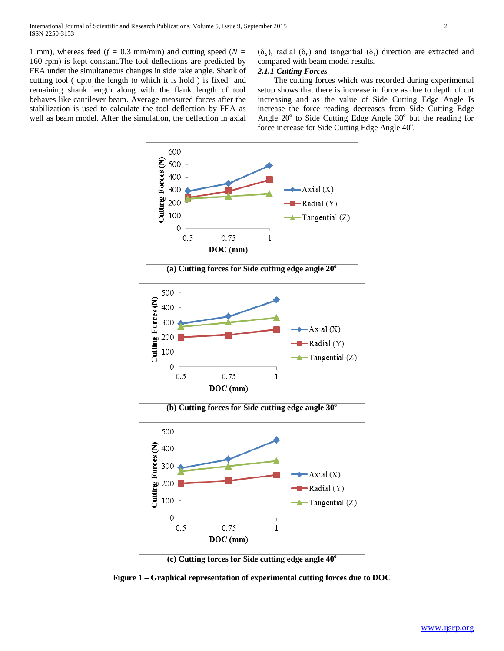1 mm), whereas feed  $(f = 0.3 \text{ mm/min})$  and cutting speed  $(N = 1 \text{ mm})$ 160 rpm) is kept constant.The tool deflections are predicted by FEA under the simultaneous changes in side rake angle. Shank of cutting tool ( upto the length to which it is hold ) is fixed and remaining shank length along with the flank length of tool behaves like cantilever beam. Average measured forces after the stabilization is used to calculate the tool deflection by FEA as well as beam model. After the simulation, the deflection in axial (δ*a*), radial (δ*r*) and tangential (δ*t*) direction are extracted and compared with beam model results.

# *2.1.1 Cutting Forces*

 The cutting forces which was recorded during experimental setup shows that there is increase in force as due to depth of cut increasing and as the value of Side Cutting Edge Angle Is increase the force reading decreases from Side Cutting Edge Angle  $20^{\circ}$  to Side Cutting Edge Angle  $30^{\circ}$  but the reading for force increase for Side Cutting Edge Angle 40°.



(a) Cutting forces for Side cutting edge angle  $20^{\circ}$ 



**(b) Cutting forces for Side cutting edge angle 30o**





**Figure 1 – Graphical representation of experimental cutting forces due to DOC**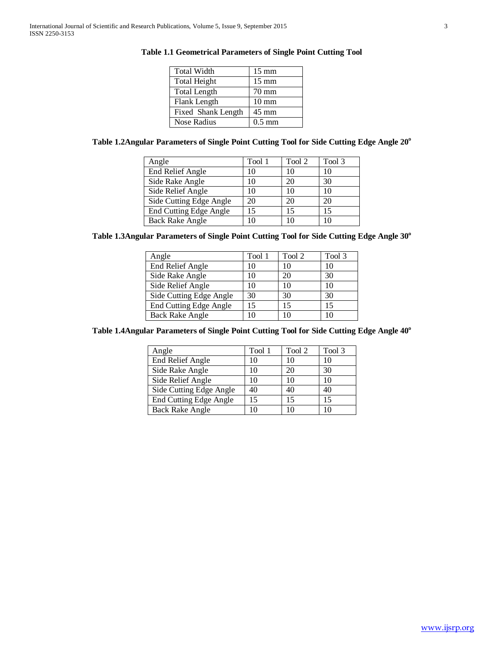| <b>Total Width</b>  | $15 \text{ mm}$  |
|---------------------|------------------|
| <b>Total Height</b> | $15 \text{ mm}$  |
| <b>Total Length</b> | $70 \text{ mm}$  |
| Flank Length        | $10 \text{ mm}$  |
| Fixed Shank Length  | $45 \text{ mm}$  |
| Nose Radius         | $0.5 \text{ mm}$ |

# **Table 1.1 Geometrical Parameters of Single Point Cutting Tool**

# Table 1.2Angular Parameters of Single Point Cutting Tool for Side Cutting Edge Angle 20°

| Angle                   | Tool 1 | Tool 2 | Tool 3 |
|-------------------------|--------|--------|--------|
| <b>End Relief Angle</b> | 10     | 10     | 10     |
| Side Rake Angle         | 10     | 20     | 30     |
| Side Relief Angle       | 10     | 10     | 10     |
| Side Cutting Edge Angle | 20     | 20     | 20     |
| End Cutting Edge Angle  | 15     | 15     | 15     |
| <b>Back Rake Angle</b>  |        | 10     |        |

Table 1.3Angular Parameters of Single Point Cutting Tool for Side Cutting Edge Angle 30°

| Angle                   | Tool 1 | Tool 2 | Tool 3 |
|-------------------------|--------|--------|--------|
| <b>End Relief Angle</b> | 10     | 10     | 10     |
| Side Rake Angle         | 10     | 20     | 30     |
| Side Relief Angle       | 10     | 10     | 10     |
| Side Cutting Edge Angle | 30     | 30     | 30     |
| End Cutting Edge Angle  | 15     | 15     | 15     |
| <b>Back Rake Angle</b>  |        | 10     |        |

Table 1.4Angular Parameters of Single Point Cutting Tool for Side Cutting Edge Angle 40°

| Angle                         | Tool 1 | Tool 2 | Tool 3 |
|-------------------------------|--------|--------|--------|
| <b>End Relief Angle</b>       | 10     | 10     | 10     |
| Side Rake Angle               | 10     | 20     | 30     |
| Side Relief Angle             | 10     | 10     | 10     |
| Side Cutting Edge Angle       | 40     | 40     | 40     |
| <b>End Cutting Edge Angle</b> | 15     | 15     | 15     |
| <b>Back Rake Angle</b>        | 10     | 10     |        |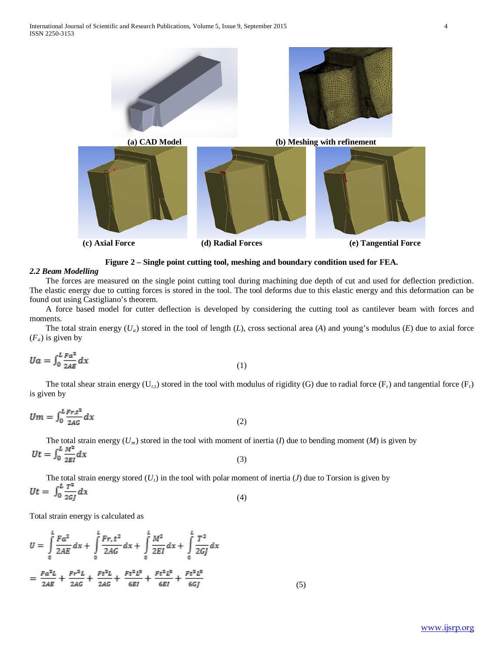

**Figure 2 – Single point cutting tool, meshing and boundary condition used for FEA.**

## *2.2 Beam Modelling*

 The forces are measured on the single point cutting tool during machining due depth of cut and used for deflection prediction. The elastic energy due to cutting forces is stored in the tool. The tool deforms due to this elastic energy and this deformation can be found out using Castigliano's theorem.

 A force based model for cutter deflection is developed by considering the cutting tool as cantilever beam with forces and moments.

 The total strain energy (*Ua*) stored in the tool of length (*L*), cross sectional area (*A*) and young's modulus (*E*) due to axial force  $(F_a)$  is given by

$$
Ua = \int_0^L \frac{F a^2}{2AE} dx \tag{1}
$$

The total shear strain energy  $(U_{t,t})$  stored in the tool with modulus of rigidity (G) due to radial force  $(F_t)$  and tangential force  $(F_t)$ is given by

$$
Um = \int_0^L \frac{Fr_t^2}{2AG} dx \tag{2}
$$

The total strain energy  $(U_m)$  stored in the tool with moment of inertia (*I*) due to bending moment (*M*) is given by<br> $Ut = \int_0^L \frac{M^2}{2EI} dx$  (3) (3)

The total strain energy stored  $(U_t)$  in the tool with polar moment of inertia  $(J)$  due to Torsion is given by  $Ut = \int_0^L \frac{T^2}{2G} dx$  (4) (4)

Total strain energy is calculated as

$$
U = \int_{0}^{L} \frac{Fa^{2}}{2AE} dx + \int_{0}^{L} \frac{Fr_{,t}t^{2}}{2AG} dx + \int_{0}^{L} \frac{M^{2}}{2EI} dx + \int_{0}^{L} \frac{T^{2}}{2GJ} dx
$$
  
=  $\frac{Fa^{2}L}{2AE} + \frac{Fr^{2}L}{2AG} + \frac{Ft^{2}L}{2AG} + \frac{Ft^{2}L^{3}}{6EI} + \frac{Ft^{2}L^{3}}{6EI} + \frac{Ft^{2}L^{3}}{6GJ}$  (5)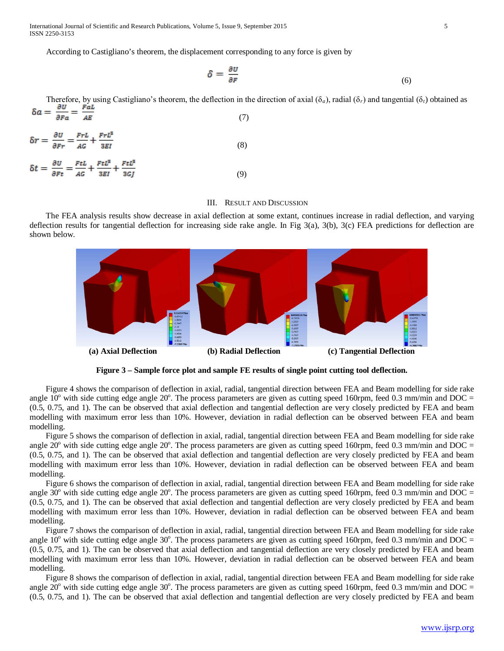International Journal of Scientific and Research Publications, Volume 5, Issue 9, September 2015 5 ISSN 2250-3153

According to Castigliano's theorem, the displacement corresponding to any force is given by

$$
\delta = \frac{\partial u}{\partial F} \tag{6}
$$

Therefore, by using Castigliano's theorem, the deflection in the direction of axial ( $\delta_a$ ), radial ( $\delta_r$ ) and tangential ( $\delta_t$ ) obtained as  $\delta a = \frac{\partial u}{\partial Fa} = \frac{Fa}{AB}$  (7) (7)

$$
\delta r = \frac{\partial U}{\partial Fr} = \frac{FrL}{AG} + \frac{FrL^2}{3EI} \tag{8}
$$

$$
\delta t = \frac{\partial U}{\partial Ft} = \frac{FtL}{AG} + \frac{FtL^3}{3EI} + \frac{FtL^3}{3Gf}
$$
\n<sup>(9)</sup>

## III. RESULT AND DISCUSSION

 The FEA analysis results show decrease in axial deflection at some extant, continues increase in radial deflection, and varying deflection results for tangential deflection for increasing side rake angle. In Fig 3(a), 3(b), 3(c) FEA predictions for deflection are shown below.



**Figure 3 – Sample force plot and sample FE results of single point cutting tool deflection.**

 Figure 4 shows the comparison of deflection in axial, radial, tangential direction between FEA and Beam modelling for side rake angle  $10^{\circ}$  with side cutting edge angle  $20^{\circ}$ . The process parameters are given as cutting speed 160rpm, feed 0.3 mm/min and DOC = (0.5, 0.75, and 1). The can be observed that axial deflection and tangential deflection are very closely predicted by FEA and beam modelling with maximum error less than 10%. However, deviation in radial deflection can be observed between FEA and beam modelling.

 Figure 5 shows the comparison of deflection in axial, radial, tangential direction between FEA and Beam modelling for side rake angle  $20^{\circ}$  with side cutting edge angle  $20^{\circ}$ . The process parameters are given as cutting speed 160rpm, feed 0.3 mm/min and DOC = (0.5, 0.75, and 1). The can be observed that axial deflection and tangential deflection are very closely predicted by FEA and beam modelling with maximum error less than 10%. However, deviation in radial deflection can be observed between FEA and beam modelling.

 Figure 6 shows the comparison of deflection in axial, radial, tangential direction between FEA and Beam modelling for side rake angle  $30^{\circ}$  with side cutting edge angle  $20^{\circ}$ . The process parameters are given as cutting speed 160rpm, feed 0.3 mm/min and DOC = (0.5, 0.75, and 1). The can be observed that axial deflection and tangential deflection are very closely predicted by FEA and beam modelling with maximum error less than 10%. However, deviation in radial deflection can be observed between FEA and beam modelling.

 Figure 7 shows the comparison of deflection in axial, radial, tangential direction between FEA and Beam modelling for side rake angle  $10^{\circ}$  with side cutting edge angle 30°. The process parameters are given as cutting speed 160rpm, feed 0.3 mm/min and DOC = (0.5, 0.75, and 1). The can be observed that axial deflection and tangential deflection are very closely predicted by FEA and beam modelling with maximum error less than 10%. However, deviation in radial deflection can be observed between FEA and beam modelling.

 Figure 8 shows the comparison of deflection in axial, radial, tangential direction between FEA and Beam modelling for side rake angle  $20^{\circ}$  with side cutting edge angle 30°. The process parameters are given as cutting speed 160rpm, feed 0.3 mm/min and DOC = (0.5, 0.75, and 1). The can be observed that axial deflection and tangential deflection are very closely predicted by FEA and beam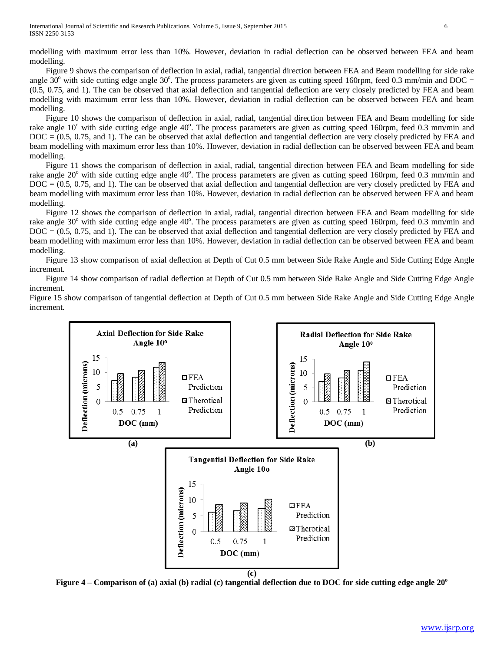modelling with maximum error less than 10%. However, deviation in radial deflection can be observed between FEA and beam modelling.

 Figure 9 shows the comparison of deflection in axial, radial, tangential direction between FEA and Beam modelling for side rake angle  $30^{\circ}$  with side cutting edge angle  $30^{\circ}$ . The process parameters are given as cutting speed 160rpm, feed 0.3 mm/min and DOC = (0.5, 0.75, and 1). The can be observed that axial deflection and tangential deflection are very closely predicted by FEA and beam modelling with maximum error less than 10%. However, deviation in radial deflection can be observed between FEA and beam modelling.

 Figure 10 shows the comparison of deflection in axial, radial, tangential direction between FEA and Beam modelling for side rake angle 10° with side cutting edge angle 40°. The process parameters are given as cutting speed 160rpm, feed 0.3 mm/min and DOC = (0.5, 0.75, and 1). The can be observed that axial deflection and tangential deflection are very closely predicted by FEA and beam modelling with maximum error less than 10%. However, deviation in radial deflection can be observed between FEA and beam modelling.

 Figure 11 shows the comparison of deflection in axial, radial, tangential direction between FEA and Beam modelling for side rake angle 20° with side cutting edge angle 40°. The process parameters are given as cutting speed 160rpm, feed 0.3 mm/min and DOC = (0.5, 0.75, and 1). The can be observed that axial deflection and tangential deflection are very closely predicted by FEA and beam modelling with maximum error less than 10%. However, deviation in radial deflection can be observed between FEA and beam modelling.

 Figure 12 shows the comparison of deflection in axial, radial, tangential direction between FEA and Beam modelling for side rake angle 30° with side cutting edge angle 40°. The process parameters are given as cutting speed 160rpm, feed 0.3 mm/min and DOC = (0.5, 0.75, and 1). The can be observed that axial deflection and tangential deflection are very closely predicted by FEA and beam modelling with maximum error less than 10%. However, deviation in radial deflection can be observed between FEA and beam modelling.

 Figure 13 show comparison of axial deflection at Depth of Cut 0.5 mm between Side Rake Angle and Side Cutting Edge Angle increment.

 Figure 14 show comparison of radial deflection at Depth of Cut 0.5 mm between Side Rake Angle and Side Cutting Edge Angle increment.

Figure 15 show comparison of tangential deflection at Depth of Cut 0.5 mm between Side Rake Angle and Side Cutting Edge Angle increment.



Figure 4 – Comparison of (a) axial (b) radial (c) tangential deflection due to DOC for side cutting edge angle 20<sup>o</sup>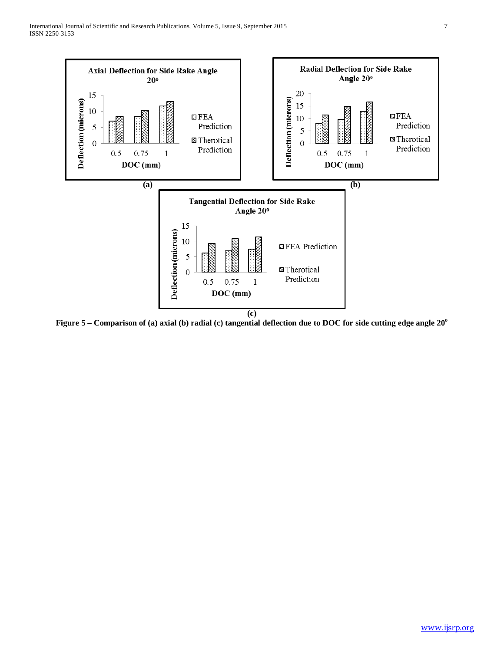

Figure 5 – Comparison of (a) axial (b) radial (c) tangential deflection due to DOC for side cutting edge angle 20<sup>o</sup>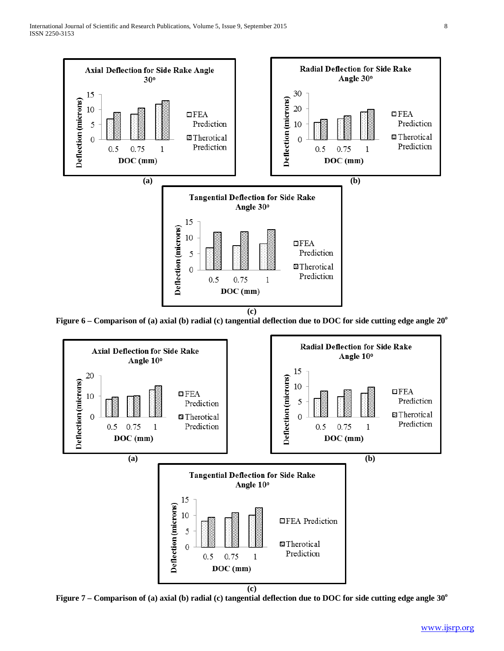

Figure 6 – Comparison of (a) axial (b) radial (c) tangential deflection due to DOC for side cutting edge angle 20<sup>o</sup>



**Figure 7 – Comparison of (a) axial (b) radial (c) tangential deflection due to DOC for side cutting edge angle 30<sup>o</sup>**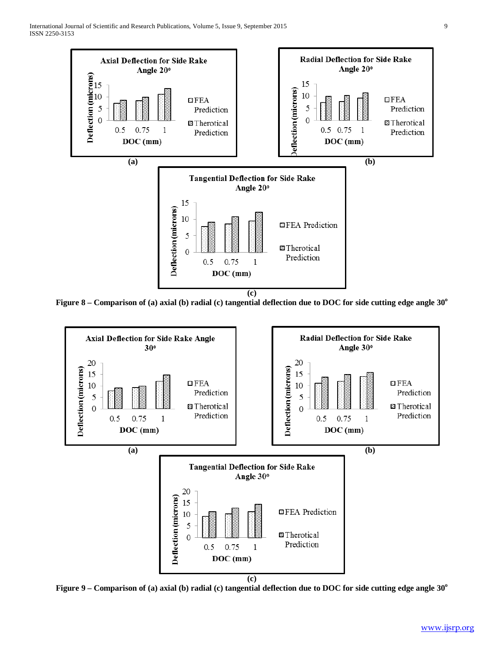

Figure 8 – Comparison of (a) axial (b) radial (c) tangential deflection due to DOC for side cutting edge angle 30<sup>o</sup>



**Figure 9 – Comparison of (a) axial (b) radial (c) tangential deflection due to DOC for side cutting edge angle 30<sup>o</sup>**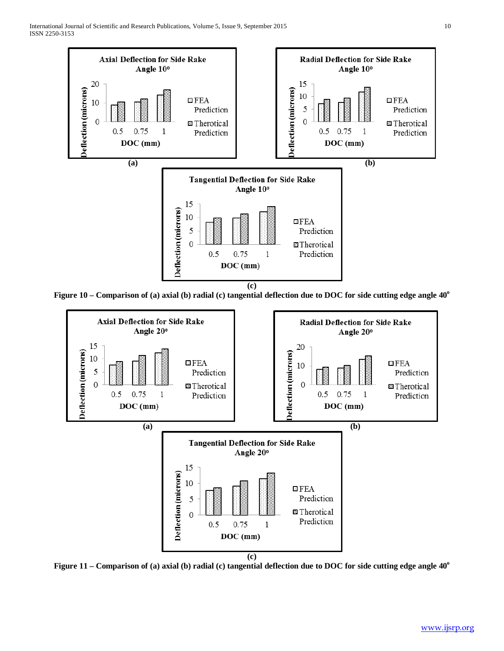

Figure 10 – Comparison of (a) axial (b) radial (c) tangential deflection due to DOC for side cutting edge angle 40<sup>o</sup>



Figure 11 – Comparison of (a) axial (b) radial (c) tangential deflection due to DOC for side cutting edge angle 40<sup>o</sup>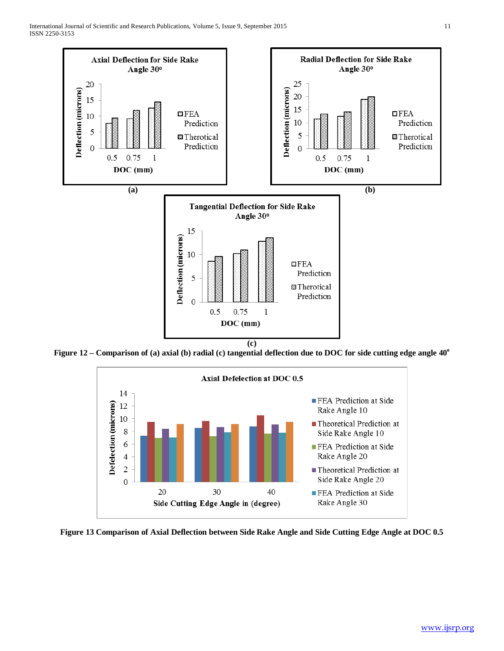

Figure 12 – Comparison of (a) axial (b) radial (c) tangential deflection due to DOC for side cutting edge angle 40<sup>o</sup>



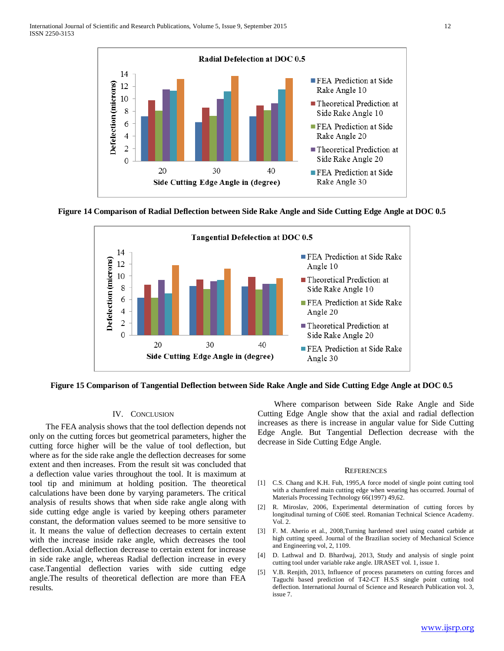

**Figure 14 Comparison of Radial Deflection between Side Rake Angle and Side Cutting Edge Angle at DOC 0.5**



**Figure 15 Comparison of Tangential Deflection between Side Rake Angle and Side Cutting Edge Angle at DOC 0.5**

## IV. CONCLUSION

 The FEA analysis shows that the tool deflection depends not only on the cutting forces but geometrical parameters, higher the cutting force higher will be the value of tool deflection, but where as for the side rake angle the deflection decreases for some extent and then increases. From the result sit was concluded that a deflection value varies throughout the tool. It is maximum at tool tip and minimum at holding position. The theoretical calculations have been done by varying parameters. The critical analysis of results shows that when side rake angle along with side cutting edge angle is varied by keeping others parameter constant, the deformation values seemed to be more sensitive to it. It means the value of deflection decreases to certain extent with the increase inside rake angle, which decreases the tool deflection.Axial deflection decrease to certain extent for increase in side rake angle, whereas Radial deflection increase in every case.Tangential deflection varies with side cutting edge angle.The results of theoretical deflection are more than FEA results.

 Where comparison between Side Rake Angle and Side Cutting Edge Angle show that the axial and radial deflection increases as there is increase in angular value for Side Cutting Edge Angle. But Tangential Deflection decrease with the decrease in Side Cutting Edge Angle.

#### **REFERENCES**

- [1] C.S. Chang and K.H. Fuh, 1995,A force model of single point cutting tool with a chamfered main cutting edge when wearing has occurred. Journal of Materials Processing Technology 66(1997) 49,62.
- [2] R. Miroslav, 2006, Experimental determination of cutting forces by longitudinal turning of C60E steel. Romanian Technical Science Academy. Vol. 2.
- [3] F. M. Aherio et al., 2008,Turning hardened steel using coated carbide at high cutting speed. Journal of the Brazilian society of Mechanical Science and Engineering vol, 2, 1109.
- [4] D. Lathwal and D. Bhardwaj, 2013, Study and analysis of single point cutting tool under variable rake angle. IJRASET vol. 1, issue 1.
- [5] V.B. Renjith, 2013, Influence of process parameters on cutting forces and Taguchi based prediction of T42-CT H.S.S single point cutting tool deflection. International Journal of Science and Research Publication vol. 3, issue 7.